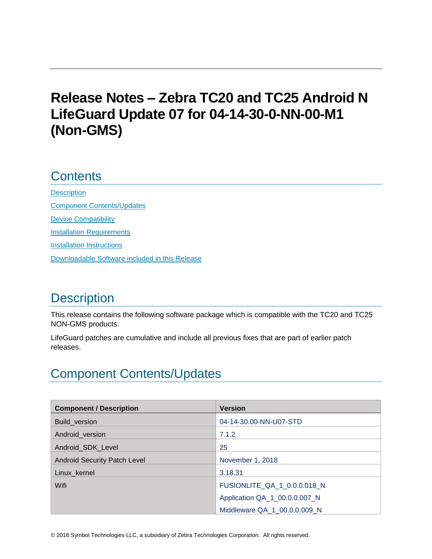# **Release Notes – Zebra TC20 and TC25 Android N LifeGuard Update 07 for 04-14-30-0-NN-00-M1 (Non-GMS)**

# **Contents**

**[Description](#page-0-0)** [Component Contents/Updates](#page-0-1) [Device Compatibility](#page-5-0) **[Installation Requirements](#page-6-0)** [Installation Instructions](#page-6-1) [Downloadable Software included in this Release](#page-8-0)

# <span id="page-0-0"></span>**Description**

This release contains the following software package which is compatible with the TC20 and TC25 NON-GMS products.

LifeGuard patches are cumulative and include all previous fixes that are part of earlier patch releases.

# <span id="page-0-1"></span>Component Contents/Updates

| <b>Component / Description</b>      | <b>Version</b>                |
|-------------------------------------|-------------------------------|
| Build_version                       | 04-14-30.00-NN-U07-STD        |
| Android_version                     | 7.1.2                         |
| Android SDK Level                   | 25                            |
| <b>Android Security Patch Level</b> | November 1, 2018              |
| Linux_kernel                        | 3.18.31                       |
| Wifi                                | FUSIONLITE_QA_1_0.0.0.018_N   |
|                                     | Application QA_1_00.0.0.007_N |
|                                     | Middleware QA 1 00.0.0.009 N  |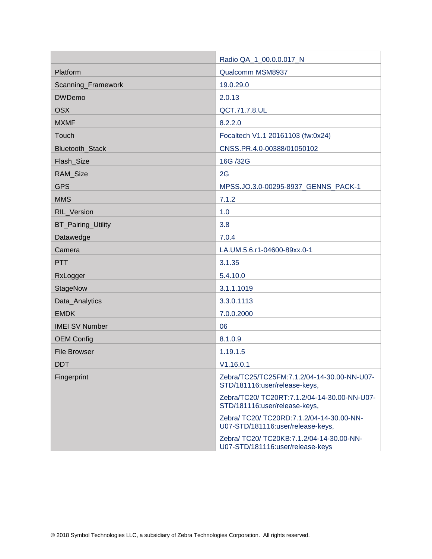|                       | Radio QA_1_00.0.0.017_N                                                        |  |
|-----------------------|--------------------------------------------------------------------------------|--|
| Platform              | Qualcomm MSM8937                                                               |  |
| Scanning_Framework    | 19.0.29.0                                                                      |  |
| <b>DWDemo</b>         | 2.0.13                                                                         |  |
| <b>OSX</b>            | QCT.71.7.8.UL                                                                  |  |
| <b>MXMF</b>           | 8.2.2.0                                                                        |  |
| Touch                 | Focaltech V1.1 20161103 (fw:0x24)                                              |  |
| Bluetooth_Stack       | CNSS.PR.4.0-00388/01050102                                                     |  |
| Flash_Size            | 16G /32G                                                                       |  |
| RAM_Size              | 2G                                                                             |  |
| <b>GPS</b>            | MPSS.JO.3.0-00295-8937_GENNS_PACK-1                                            |  |
| <b>MMS</b>            | 7.1.2                                                                          |  |
| <b>RIL Version</b>    | 1.0                                                                            |  |
| BT_Pairing_Utility    | 3.8                                                                            |  |
| Datawedge             | 7.0.4                                                                          |  |
| Camera                | LA.UM.5.6.r1-04600-89xx.0-1                                                    |  |
| <b>PTT</b>            | 3.1.35                                                                         |  |
| RxLogger              | 5.4.10.0                                                                       |  |
| StageNow              | 3.1.1.1019                                                                     |  |
| Data_Analytics        | 3.3.0.1113                                                                     |  |
| <b>EMDK</b>           | 7.0.0.2000                                                                     |  |
| <b>IMEI SV Number</b> | 06                                                                             |  |
| <b>OEM Config</b>     | 8.1.0.9                                                                        |  |
| <b>File Browser</b>   | 1.19.1.5                                                                       |  |
| <b>DDT</b>            | V1.16.0.1                                                                      |  |
| Fingerprint           | Zebra/TC25/TC25FM:7.1.2/04-14-30.00-NN-U07-<br>STD/181116:user/release-keys,   |  |
|                       | Zebra/TC20/ TC20RT:7.1.2/04-14-30.00-NN-U07-<br>STD/181116:user/release-keys,  |  |
|                       | Zebra/ TC20/ TC20RD:7.1.2/04-14-30.00-NN-<br>U07-STD/181116:user/release-keys, |  |
|                       | Zebra/ TC20/ TC20KB:7.1.2/04-14-30.00-NN-<br>U07-STD/181116:user/release-keys  |  |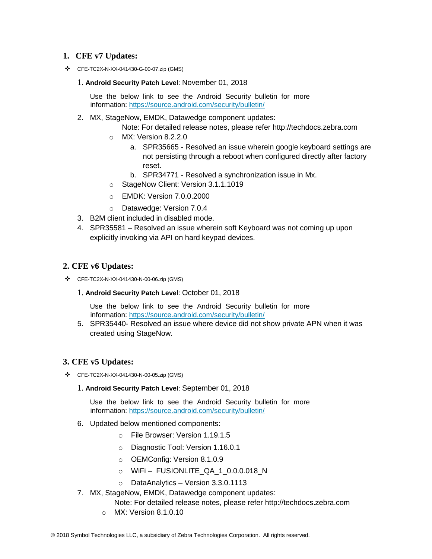### **1. CFE v7 Updates:**

❖ CFE-TC2X-N-XX-041430-G-00-07.zip (GMS)

#### 1. **Android Security Patch Level**: November 01, 2018

Use the below link to see the Android Security bulletin for more information:<https://source.android.com/security/bulletin/>

2. MX, StageNow, EMDK, Datawedge component updates:

Note: For detailed release notes, please refer [http://techdocs.zebra.com](http://techdocs.zebra.com/)

- o MX: Version 8.2.2.0
	- a. SPR35665 Resolved an issue wherein google keyboard settings are not persisting through a reboot when configured directly after factory reset.
	- b. SPR34771 Resolved a synchronization issue in Mx.
- o StageNow Client: Version 3.1.1.1019
- o EMDK: Version 7.0.0.2000
- o Datawedge: Version 7.0.4
- 3. B2M client included in disabled mode.
- 4. SPR35581 Resolved an issue wherein soft Keyboard was not coming up upon explicitly invoking via API on hard keypad devices.

### **2. CFE v6 Updates:**

- ❖ CFE-TC2X-N-XX-041430-N-00-06.zip (GMS)
	- 1. **Android Security Patch Level**: October 01, 2018

Use the below link to see the Android Security bulletin for more information:<https://source.android.com/security/bulletin/>

5. SPR35440- Resolved an issue where device did not show private APN when it was created using StageNow.

### **3. CFE v5 Updates:**

- ❖ CFE-TC2X-N-XX-041430-N-00-05.zip (GMS)
	- 1. **Android Security Patch Level**: September 01, 2018

Use the below link to see the Android Security bulletin for more information:<https://source.android.com/security/bulletin/>

- 6. Updated below mentioned components:
	- o File Browser: Version 1.19.1.5
	- o Diagnostic Tool: Version 1.16.0.1
	- o OEMConfig: Version 8.1.0.9
	- o WiFi FUSIONLITE\_QA\_1\_0.0.0.018\_N
	- o DataAnalytics Version 3.3.0.1113
- 7. MX, StageNow, EMDK, Datawedge component updates:
	- Note: For detailed release notes, please refer [http://techdocs.zebra.com](http://techdocs.zebra.com/)
	- o MX: Version 8.1.0.10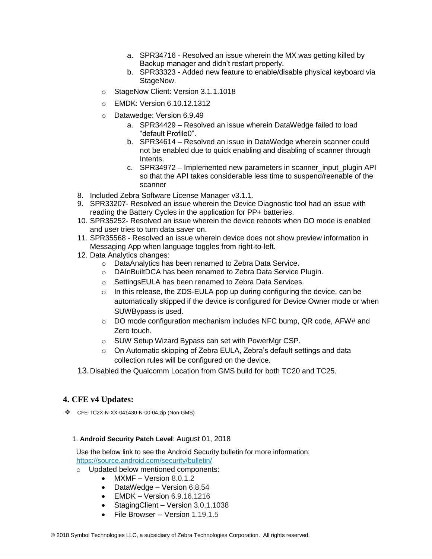- a. SPR34716 Resolved an issue wherein the MX was getting killed by Backup manager and didn't restart properly.
- b. SPR33323 Added new feature to enable/disable physical keyboard via StageNow.
- o StageNow Client: Version 3.1.1.1018
- o EMDK: Version 6.10.12.1312
- o Datawedge: Version 6.9.49
	- a. SPR34429 Resolved an issue wherein DataWedge failed to load "default Profile0".
	- b. SPR34614 Resolved an issue in DataWedge wherein scanner could not be enabled due to quick enabling and disabling of scanner through Intents.
	- c. SPR34972 Implemented new parameters in scanner input plugin API so that the API takes considerable less time to suspend/reenable of the scanner
- 8. Included Zebra Software License Manager v3.1.1.
- 9. SPR33207- Resolved an issue wherein the Device Diagnostic tool had an issue with reading the Battery Cycles in the application for PP+ batteries.
- 10. SPR35252- Resolved an issue wherein the device reboots when DO mode is enabled and user tries to turn data saver on.
- 11. SPR35568 Resolved an issue wherein device does not show preview information in Messaging App when language toggles from right-to-left.
- 12. Data Analytics changes:
	- o DataAnalytics has been renamed to Zebra Data Service.
	- o DAInBuiltDCA has been renamed to Zebra Data Service Plugin.
	- o SettingsEULA has been renamed to Zebra Data Services.
	- $\circ$  In this release, the ZDS-EULA pop up during configuring the device, can be automatically skipped if the device is configured for Device Owner mode or when SUWBypass is used.
	- $\circ$  DO mode configuration mechanism includes NFC bump, QR code, AFW# and Zero touch.
	- o SUW Setup Wizard Bypass can set with PowerMgr CSP.
	- o On Automatic skipping of Zebra EULA, Zebra's default settings and data collection rules will be configured on the device.

13.Disabled the Qualcomm Location from GMS build for both TC20 and TC25.

### **4. CFE v4 Updates:**

❖ CFE-TC2X-N-XX-041430-N-00-04.zip (Non-GMS)

#### 1. **Android Security Patch Level**: August 01, 2018

Use the below link to see the Android Security bulletin for more information: <https://source.android.com/security/bulletin/>

- o Updated below mentioned components:
	- MXMF Version 8.0.1.2
	- DataWedge Version 6.8.54
	- $\bullet$  EMDK Version 6.9.16.1216
	- StagingClient Version 3.0.1.1038
	- File Browser -- Version 1.19.1.5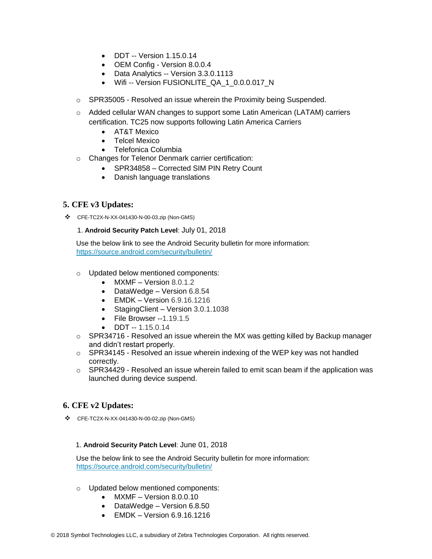- DDT -- Version 1.15.0.14
- OEM Config Version 8.0.0.4
- Data Analytics -- Version 3.3.0.1113
- Wifi -- Version FUSIONLITE\_QA\_1\_0.0.0.017\_N
- $\circ$  SPR35005 Resolved an issue wherein the Proximity being Suspended.
- o Added cellular WAN changes to support some Latin American (LATAM) carriers certification. TC25 now supports following Latin America Carriers
	- AT&T Mexico
	- Telcel Mexico
	- Telefonica Columbia
- o Changes for Telenor Denmark carrier certification:
	- SPR34858 Corrected SIM PIN Retry Count
	- Danish language translations

### **5. CFE v3 Updates:**

❖ CFE-TC2X-N-XX-041430-N-00-03.zip (Non-GMS)

#### 1. **Android Security Patch Level**: July 01, 2018

Use the below link to see the Android Security bulletin for more information: <https://source.android.com/security/bulletin/>

- o Updated below mentioned components:
	- MXMF Version 8.0.1.2
	- DataWedge Version 6.8.54
	- $\bullet$  EMDK Version 6.9.16.1216
	- StagingClient Version 3.0.1.1038
	- File Browser --1.19.1.5
	- DDT  $-1.15.0.14$
- $\circ$  SPR34716 Resolved an issue wherein the MX was getting killed by Backup manager and didn't restart properly.
- o SPR34145 Resolved an issue wherein indexing of the WEP key was not handled correctly.
- $\circ$  SPR34429 Resolved an issue wherein failed to emit scan beam if the application was launched during device suspend.

### **6. CFE v2 Updates:**

❖ CFE-TC2X-N-XX-041430-N-00-02.zip (Non-GMS)

#### 1. **Android Security Patch Level**: June 01, 2018

Use the below link to see the Android Security bulletin for more information: <https://source.android.com/security/bulletin/>

- o Updated below mentioned components:
	- MXMF Version 8.0.0.10
	- DataWedge Version 6.8.50
	- EMDK Version 6.9.16.1216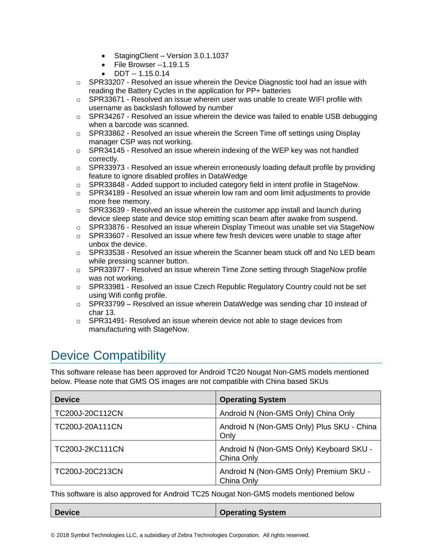- StagingClient Version 3.0.1.1037
- File Browser --1.19.1.5
- $\bullet$  DDT -- 1.15.0.14
- $\circ$  SPR33207 Resolved an issue wherein the Device Diagnostic tool had an issue with reading the Battery Cycles in the application for PP+ batteries
- $\circ$  SPR33671 Resolved an issue wherein user was unable to create WIFI profile with username as backslash followed by number
- o SPR34267 Resolved an issue wherein the device was failed to enable USB debugging when a barcode was scanned.
- $\circ$  SPR33862 Resolved an issue wherein the Screen Time off settings using Display manager CSP was not working.
- $\circ$  SPR34145 Resolved an issue wherein indexing of the WEP key was not handled correctly.
- $\circ$  SPR33973 Resolved an issue wherein erroneously loading default profile by providing feature to ignore disabled profiles in DataWedge
- $\circ$  SPR33848 Added support to included category field in intent profile in StageNow.
- $\circ$  SPR34189 Resolved an issue wherein low ram and oom limit adjustments to provide more free memory.
- $\circ$  SPR33639 Resolved an issue wherein the customer app install and launch during device sleep state and device stop emitting scan beam after awake from suspend.
- $\circ$  SPR33876 Resolved an issue wherein Display Timeout was unable set via StageNow
- $\circ$  SPR33607 Resolved an issue where few fresh devices were unable to stage after unbox the device.
- $\circ$  SPR33538 Resolved an issue wherein the Scanner beam stuck off and No LED beam while pressing scanner button.
- $\circ$  SPR33977 Resolved an issue wherein Time Zone setting through StageNow profile was not working.
- $\circ$  SPR33981 Resolved an issue Czech Republic Regulatory Country could not be set using Wifi config profile.
- o SPR33799 Resolved an issue wherein DataWedge was sending char 10 instead of char 13.
- $\circ$  SPR31491- Resolved an issue wherein device not able to stage devices from manufacturing with StageNow.

# <span id="page-5-0"></span>Device Compatibility

This software release has been approved for Android TC20 Nougat Non-GMS models mentioned below. Please note that GMS OS images are not compatible with China based SKUs

| <b>Device</b>          | <b>Operating System</b>                               |
|------------------------|-------------------------------------------------------|
| TC200J-20C112CN        | Android N (Non-GMS Only) China Only                   |
| TC200J-20A111CN        | Android N (Non-GMS Only) Plus SKU - China<br>Only     |
| <b>TC200J-2KC111CN</b> | Android N (Non-GMS Only) Keyboard SKU -<br>China Only |
| TC200J-20C213CN        | Android N (Non-GMS Only) Premium SKU -<br>China Only  |

This software is also approved for Android TC25 Nougat Non-GMS models mentioned below

| <b>Device</b> | <b>Operating System</b> |
|---------------|-------------------------|
|               |                         |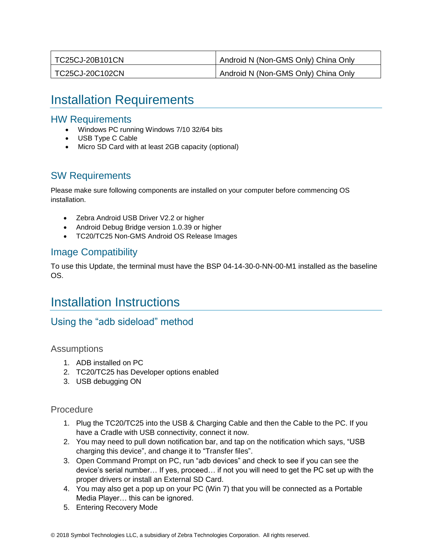| TC25CJ-20B101CN | Android N (Non-GMS Only) China Only |
|-----------------|-------------------------------------|
| TC25CJ-20C102CN | Android N (Non-GMS Only) China Only |

# <span id="page-6-0"></span>Installation Requirements

### HW Requirements

- Windows PC running Windows 7/10 32/64 bits
- USB Type C Cable
- Micro SD Card with at least 2GB capacity (optional)

## SW Requirements

Please make sure following components are installed on your computer before commencing OS installation.

- Zebra Android USB Driver V2.2 or higher
- Android Debug Bridge version 1.0.39 or higher
- TC20/TC25 Non-GMS Android OS Release Images

## Image Compatibility

To use this Update, the terminal must have the BSP 04-14-30-0-NN-00-M1 installed as the baseline OS.

# <span id="page-6-1"></span>Installation Instructions

## Using the "adb sideload" method

**Assumptions** 

- 1. ADB installed on PC
- 2. TC20/TC25 has Developer options enabled
- 3. USB debugging ON

### Procedure

- 1. Plug the TC20/TC25 into the USB & Charging Cable and then the Cable to the PC. If you have a Cradle with USB connectivity, connect it now.
- 2. You may need to pull down notification bar, and tap on the notification which says, "USB charging this device", and change it to "Transfer files".
- 3. Open Command Prompt on PC, run "adb devices" and check to see if you can see the device's serial number… If yes, proceed… if not you will need to get the PC set up with the proper drivers or install an External SD Card.
- 4. You may also get a pop up on your PC (Win 7) that you will be connected as a Portable Media Player… this can be ignored.
- 5. Entering Recovery Mode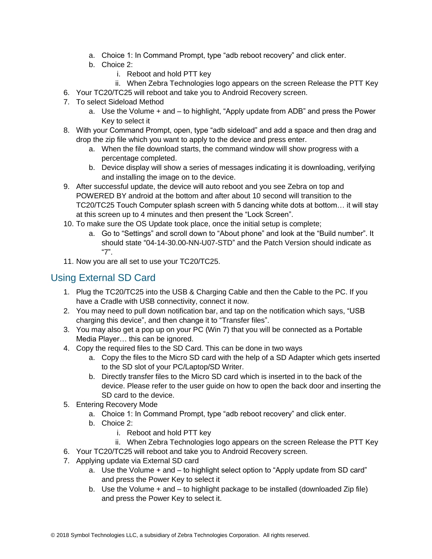- a. Choice 1: In Command Prompt, type "adb reboot recovery" and click enter.
- b. Choice 2:
	- i. Reboot and hold PTT key
	- ii. When Zebra Technologies logo appears on the screen Release the PTT Key
- 6. Your TC20/TC25 will reboot and take you to Android Recovery screen.
- 7. To select Sideload Method
	- a. Use the Volume + and to highlight, "Apply update from ADB" and press the Power Key to select it
- 8. With your Command Prompt, open, type "adb sideload" and add a space and then drag and drop the zip file which you want to apply to the device and press enter.
	- a. When the file download starts, the command window will show progress with a percentage completed.
	- b. Device display will show a series of messages indicating it is downloading, verifying and installing the image on to the device.
- 9. After successful update, the device will auto reboot and you see Zebra on top and POWERED BY android at the bottom and after about 10 second will transition to the TC20/TC25 Touch Computer splash screen with 5 dancing white dots at bottom… it will stay at this screen up to 4 minutes and then present the "Lock Screen".
- 10. To make sure the OS Update took place, once the initial setup is complete;
	- a. Go to "Settings" and scroll down to "About phone" and look at the "Build number". It should state "04-14-30.00-NN-U07-STD" and the Patch Version should indicate as "7".
- 11. Now you are all set to use your TC20/TC25.

## Using External SD Card

- 1. Plug the TC20/TC25 into the USB & Charging Cable and then the Cable to the PC. If you have a Cradle with USB connectivity, connect it now.
- 2. You may need to pull down notification bar, and tap on the notification which says, "USB charging this device", and then change it to "Transfer files".
- 3. You may also get a pop up on your PC (Win 7) that you will be connected as a Portable Media Player… this can be ignored.
- 4. Copy the required files to the SD Card. This can be done in two ways
	- a. Copy the files to the Micro SD card with the help of a SD Adapter which gets inserted to the SD slot of your PC/Laptop/SD Writer.
	- b. Directly transfer files to the Micro SD card which is inserted in to the back of the device. Please refer to the user guide on how to open the back door and inserting the SD card to the device.
- 5. Entering Recovery Mode
	- a. Choice 1: In Command Prompt, type "adb reboot recovery" and click enter.
	- b. Choice 2:
		- i. Reboot and hold PTT key
		- ii. When Zebra Technologies logo appears on the screen Release the PTT Key
- 6. Your TC20/TC25 will reboot and take you to Android Recovery screen.
- 7. Applying update via External SD card
	- a. Use the Volume + and to highlight select option to "Apply update from SD card" and press the Power Key to select it
	- b. Use the Volume + and to highlight package to be installed (downloaded Zip file) and press the Power Key to select it.